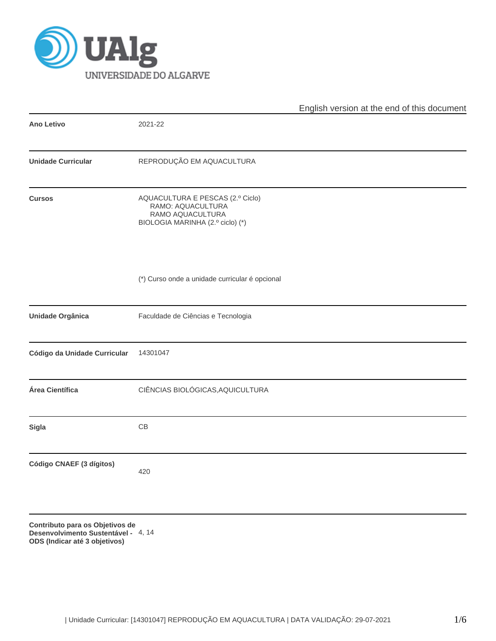

|                                                                                                               | English version at the end of this document |
|---------------------------------------------------------------------------------------------------------------|---------------------------------------------|
| 2021-22                                                                                                       |                                             |
| REPRODUÇÃO EM AQUACULTURA                                                                                     |                                             |
| AQUACULTURA E PESCAS (2.º Ciclo)<br>RAMO: AQUACULTURA<br>RAMO AQUACULTURA<br>BIOLOGIA MARINHA (2.º ciclo) (*) |                                             |
| (*) Curso onde a unidade curricular é opcional                                                                |                                             |
| Faculdade de Ciências e Tecnologia                                                                            |                                             |
| 14301047                                                                                                      |                                             |
| CIÊNCIAS BIOLÓGICAS, AQUICULTURA                                                                              |                                             |
| $\mathbb{C}\mathbb{B}$                                                                                        |                                             |
| 420                                                                                                           |                                             |
|                                                                                                               |                                             |

**Contributo para os Objetivos de Desenvolvimento Sustentável -** 4, 14**ODS (Indicar até 3 objetivos)**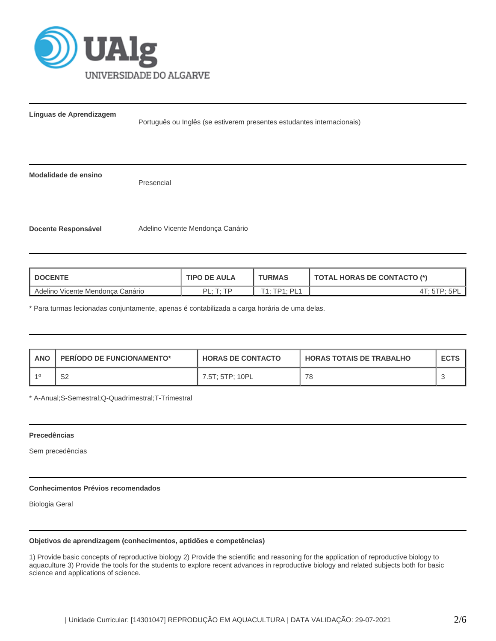

**Docente Responsável** Adelino Vicente Mendonça Canário

**Línguas de Aprendizagem**

Português ou Inglês (se estiverem presentes estudantes internacionais) **Modalidade de ensino** Presencial

| <b>DOCENTE</b>                          | <b>TIPO DE AULA</b>        | <b>TURMAS</b>                           | <b>TOTAL HORAS DE CONTACTO (*)</b> |  |  |
|-----------------------------------------|----------------------------|-----------------------------------------|------------------------------------|--|--|
| Adelino<br>v Vicente Mendonca Canário כ | DI.<br>$T \cdot TD$<br>. . | $T1 \cdot TD1 \cdot$<br>ΡI<br><u>ы.</u> | UII                                |  |  |

\* Para turmas lecionadas conjuntamente, apenas é contabilizada a carga horária de uma delas.

| <b>ANO</b> | <b>PERIODO DE FUNCIONAMENTO*</b> | <b>HORAS DE CONTACTO</b> | <b>I HORAS TOTAIS DE TRABALHO</b> | <b>ECTS</b> |
|------------|----------------------------------|--------------------------|-----------------------------------|-------------|
| -10        | S2                               | 7.5T: 5TP: 10PL          | 78                                |             |

\* A-Anual;S-Semestral;Q-Quadrimestral;T-Trimestral

## **Precedências**

Sem precedências

# **Conhecimentos Prévios recomendados**

Biologia Geral

## **Objetivos de aprendizagem (conhecimentos, aptidões e competências)**

1) Provide basic concepts of reproductive biology 2) Provide the scientific and reasoning for the application of reproductive biology to aquaculture 3) Provide the tools for the students to explore recent advances in reproductive biology and related subjects both for basic science and applications of science.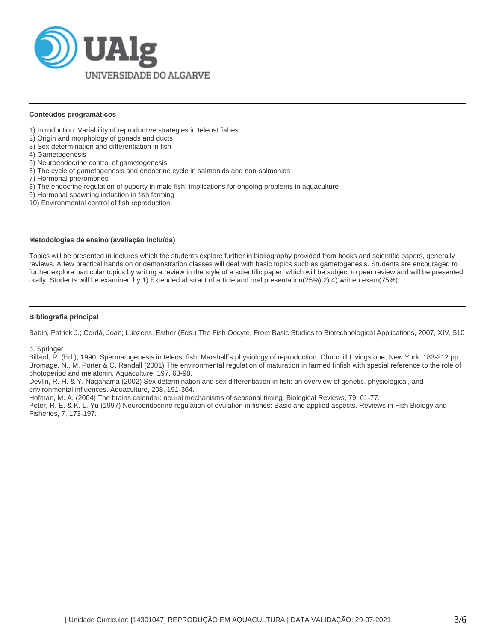

## **Conteúdos programáticos**

- 1) Introduction: Variability of reproductive strategies in teleost fishes
- 2) Origin and morphology of gonads and ducts
- 3) Sex determination and differentiation in fish
- 4) Gametogenesis
- 5) Neuroendocrine control of gametogenesis
- 6) The cycle of gametogenesis and endocrine cycle in salmonids and non-salmonids
- 7) Hormonal pheromones
- 8) The endocrine regulation of puberty in male fish: implications for ongoing problems in aquaculture
- 9) Hormonal spawning induction in fish farming
- 10) Environmental control of fish reproduction

## **Metodologias de ensino (avaliação incluída)**

Topics will be presented in lectures which the students explore further in bibliography provided from books and scientific papers, generally reviews. A few practical hands on or demonstration classes will deal with basic topics such as gametogenesis. Students are encouraged to further explore particular topics by writing a review in the style of a scientific paper, which will be subject to peer review and will be presented orally. Students will be examined by 1) Extended abstract of article and oral presentation(25%) 2) 4) written exam(75%).

## **Bibliografia principal**

Babin, Patrick J.; Cerdà, Joan; Lubzens, Esther (Eds.) The Fish Oocyte, From Basic Studies to Biotechnological Applications, 2007, XIV, 510

p. Springer

Billard, R. (Ed.), 1990. Spermatogenesis in teleost fish. Marshall´s physiology of reproduction. Churchill Livingstone, New York, 183-212 pp. Bromage, N., M. Porter & C. Randall (2001) The environmental regulation of maturation in farmed finfish with special reference to the role of photoperiod and melatonin. Aquaculture, 197, 63-98.

Devlin, R. H. & Y. Nagahama (2002) Sex determination and sex differentiation in fish: an overview of genetic, physiological, and environmental influences. Aquaculture, 208, 191-364.

Hofman, M. A. (2004) The brains calendar: neural mechanisms of seasonal timing. Biological Reviews, 79, 61-77.

Peter, R. E. & K. L. Yu (1997) Neuroendocrine regulation of ovulation in fishes: Basic and applied aspects. Reviews in Fish Biology and Fisheries, 7, 173-197.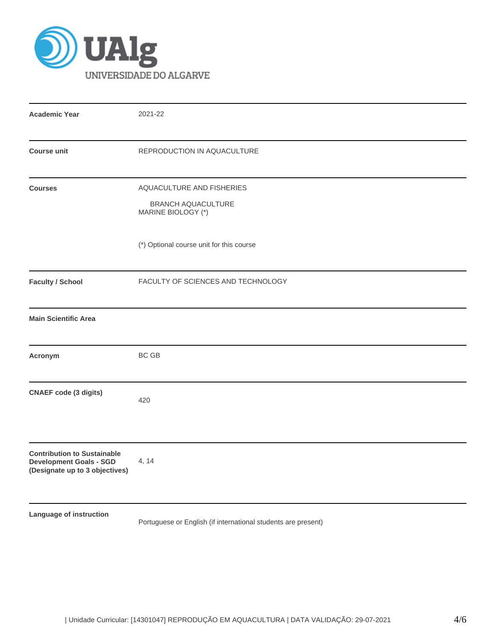

| <b>Academic Year</b>                                                                                   | 2021-22                                                                      |
|--------------------------------------------------------------------------------------------------------|------------------------------------------------------------------------------|
| <b>Course unit</b>                                                                                     | REPRODUCTION IN AQUACULTURE                                                  |
| <b>Courses</b>                                                                                         | AQUACULTURE AND FISHERIES<br><b>BRANCH AQUACULTURE</b><br>MARINE BIOLOGY (*) |
|                                                                                                        | (*) Optional course unit for this course                                     |
| <b>Faculty / School</b>                                                                                | FACULTY OF SCIENCES AND TECHNOLOGY                                           |
| <b>Main Scientific Area</b>                                                                            |                                                                              |
| Acronym                                                                                                | <b>BC GB</b>                                                                 |
| <b>CNAEF code (3 digits)</b>                                                                           | 420                                                                          |
| <b>Contribution to Sustainable</b><br><b>Development Goals - SGD</b><br>(Designate up to 3 objectives) | 4, 14                                                                        |
| Language of instruction                                                                                | Portuguese or English (if international students are present)                |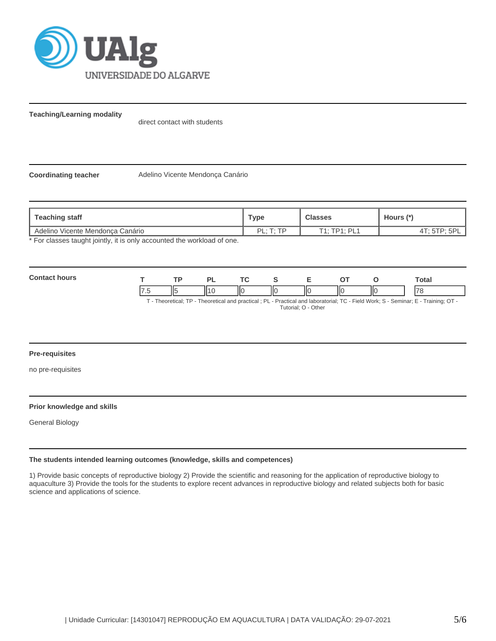

**Teaching/Learning modality**

direct contact with students

**Coordinating teacher** Adelino Vicente Mendonça Canário

| Teaching staff                                                        | Type                  | <b>Classes</b> | Hours (*)    |
|-----------------------------------------------------------------------|-----------------------|----------------|--------------|
| Adelino Vicente Mendonca Canário                                      | $DI \cdot T \cdot TD$ | T1. TP1. P11   | AT: STP: SP' |
| * Ear algonne tought jointly it is only accounted the werkload of ane |                       |                |              |

For classes taught jointly, it is only accounted the workload of one.

| Con<br>hours |         | or      | ÷  |    |     |    |    | Total                    |
|--------------|---------|---------|----|----|-----|----|----|--------------------------|
|              | Ш<br>ш. | ''<br>` | '' | ШΟ | IІC | НΟ | IЮ | $\overline{\phantom{a}}$ |

T - Theoretical; TP - Theoretical and practical ; PL - Practical and laboratorial; TC - Field Work; S - Seminar; E - Training; OT - Tutorial; O - Other

## **Pre-requisites**

no pre-requisites

## **Prior knowledge and skills**

General Biology

## **The students intended learning outcomes (knowledge, skills and competences)**

1) Provide basic concepts of reproductive biology 2) Provide the scientific and reasoning for the application of reproductive biology to aquaculture 3) Provide the tools for the students to explore recent advances in reproductive biology and related subjects both for basic science and applications of science.